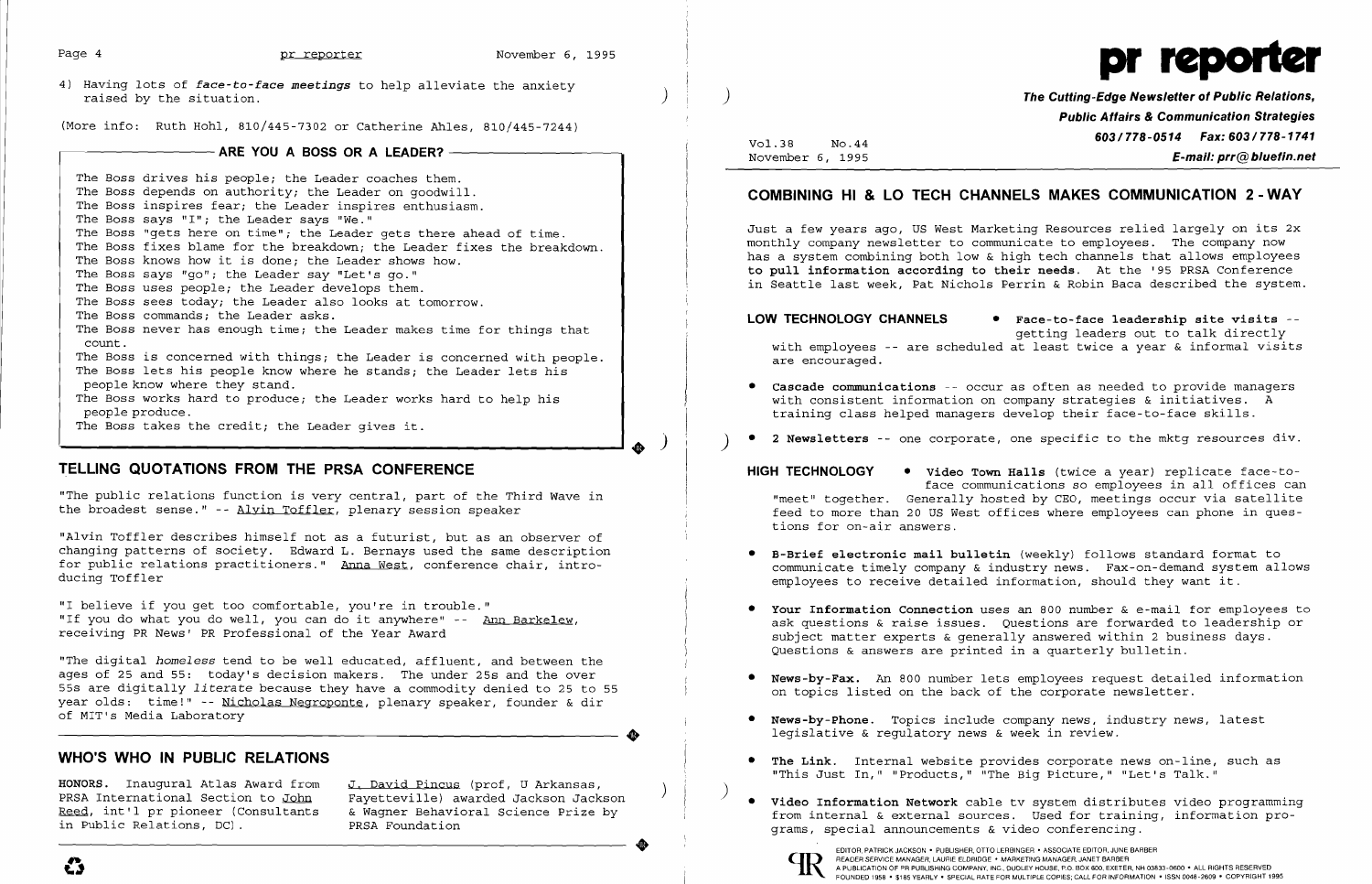| Page 4                                                                                                 | pr reporter                                                                                                                                                                                                                                                                                                                                                                                                                                                                                                                                                                                                                                                                                                                                                                                                                                                                                                                                                           | November 6, 1995 |  |                                                                                                                                                                                                                                                                                                                                                                                                                                                                                                                                                                                                                                                                           |
|--------------------------------------------------------------------------------------------------------|-----------------------------------------------------------------------------------------------------------------------------------------------------------------------------------------------------------------------------------------------------------------------------------------------------------------------------------------------------------------------------------------------------------------------------------------------------------------------------------------------------------------------------------------------------------------------------------------------------------------------------------------------------------------------------------------------------------------------------------------------------------------------------------------------------------------------------------------------------------------------------------------------------------------------------------------------------------------------|------------------|--|---------------------------------------------------------------------------------------------------------------------------------------------------------------------------------------------------------------------------------------------------------------------------------------------------------------------------------------------------------------------------------------------------------------------------------------------------------------------------------------------------------------------------------------------------------------------------------------------------------------------------------------------------------------------------|
| raised by the situation.                                                                               | 4) Having lots of face-to-face meetings to help alleviate the anxiety                                                                                                                                                                                                                                                                                                                                                                                                                                                                                                                                                                                                                                                                                                                                                                                                                                                                                                 |                  |  | The Cutting-Edge N<br><b>Public Attairs</b>                                                                                                                                                                                                                                                                                                                                                                                                                                                                                                                                                                                                                               |
| (More info: Ruth Hohl, 810/445-7302 or Catherine Ahles, 810/445-7244)<br>ARE YOU A BOSS OR A LEADER? - |                                                                                                                                                                                                                                                                                                                                                                                                                                                                                                                                                                                                                                                                                                                                                                                                                                                                                                                                                                       |                  |  | 603/77<br>Vol.38<br>No.44<br>November 6, 1995                                                                                                                                                                                                                                                                                                                                                                                                                                                                                                                                                                                                                             |
| count.<br>people produce.                                                                              | The Boss drives his people; the Leader coaches them.<br>The Boss depends on authority; the Leader on qoodwill.<br>The Boss inspires fear; the Leader inspires enthusiasm.<br>The Boss says "I"; the Leader says "We."<br>The Boss "gets here on time"; the Leader gets there ahead of time.<br>The Boss fixes blame for the breakdown; the Leader fixes the breakdown.<br>The Boss knows how it is done; the Leader shows how.<br>The Boss says "go"; the Leader say "Let's go."<br>The Boss uses people; the Leader develops them.<br>The Boss sees today; the Leader also looks at tomorrow.<br>The Boss commands; the Leader asks.<br>The Boss never has enough time; the Leader makes time for things that<br>The Boss is concerned with things; the Leader is concerned with people.<br>The Boss lets his people know where he stands; the Leader lets his<br>people know where they stand.<br>The Boss works hard to produce; the Leader works hard to help his |                  |  | <b>COMBINING HI &amp; LO TECH CHANNELS MAKES CON</b><br>Just a few years ago, US West Marketing Resources rel<br>monthly company newsletter to communicate to employee<br>has a system combining both low & high tech channels<br>to pull information according to their needs. At the<br>in Seattle last week, Pat Nichols Perrin & Robin Baca<br>LOW TECHNOLOGY CHANNELS<br>• Face-to-face lead<br>getting leaders o<br>with employees -- are scheduled at least twice a y<br>are encouraged.<br><b>•</b> Cascade communications -- occur as often as needed<br>with consistent information on company strategies<br>training class helped managers develop their face- |
|                                                                                                        | The Boss takes the credit; the Leader gives it.                                                                                                                                                                                                                                                                                                                                                                                                                                                                                                                                                                                                                                                                                                                                                                                                                                                                                                                       |                  |  | 2 Newsletters -- one corporate, one specific to the                                                                                                                                                                                                                                                                                                                                                                                                                                                                                                                                                                                                                       |
| ducing Toffler                                                                                         | TELLING QUOTATIONS FROM THE PRSA CONFERENCE<br>"The public relations function is very central, part of the Third Wave in<br>the broadest sense." -- Alvin Toffler, plenary session speaker<br>"Alvin Toffler describes himself not as a futurist, but as an observer of<br>changing patterns of society. Edward L. Bernays used the same description<br>for public relations practitioners." Anna West, conference chair, intro-                                                                                                                                                                                                                                                                                                                                                                                                                                                                                                                                      |                  |  | HIGH TECHNOLOGY<br>• Video Town Halls (twice a yea<br>face communications so employ<br>"meet" together. Generally hosted by CEO, meeting<br>feed to more than 20 US West offices where employe<br>tions for on-air answers.<br>• B-Brief electronic mail bulletin (weekly) follows<br>communicate timely company & industry news. Fax-o<br>employees to receive detailed information, should                                                                                                                                                                                                                                                                              |
|                                                                                                        | "I helieve if you get too comfortable you're in trouble."                                                                                                                                                                                                                                                                                                                                                                                                                                                                                                                                                                                                                                                                                                                                                                                                                                                                                                             |                  |  |                                                                                                                                                                                                                                                                                                                                                                                                                                                                                                                                                                                                                                                                           |

"I believe if *you* get too comfortable, you're in trouble." "If *you* do what *you* do well, you can do it anywhere" -- Ann Barkelew, receiving PR News' PR Professional of the Year Award

Your Information Connection uses an 800 number  $\&$  e-mail for employees to ask questions & raise issues. Questions are forwarded to leadership or subject matter experts & generally answered within 2 business days. Questions & answers are printed in a quarterly bulletin.

"The digital *homeless* tend to be well educated, affluent, and between the ages of 25 and 55: today's decision makers. The under 25s and the over 55s are digitally *literate* because they have a commodity denied to 25 to 55 year olds: time!" -- Nicholas Negroponte, plenary speaker, founder & dir Ĩ of MIT's Media Laboratory

## **WHO'S WHO IN PUBLIC RELATIONS • The Link.** Internal website provides corporate news on-line, such as

HONORS. Inaugural Atlas Award from <u>J. David Pincus</u> (prof, U Arkansas,<br>PRSA International Section to <u>John</u> Fayetteville) awarded Jackson Jackson<br><u>Reed</u>, int'l pr pioneer (Consultants & Wagner Behavioral Science Prize by grams, special announcements & video conferencing.<br>
EDITOR, PATRICK JACKSON • PUBLISHER, OTTO LERBINGER • ASSOCIATE EDITOR, JUNE BARBER<br>
ELARDER SERVICE MANAGER, LAURIE ELDRIDGE • MARKETING MANAGER, JANET BARBER





**re Cutting-Edge Newsletter of Public Relations, Public Affairs & Communication Strategies 603/778-0514 Fax: 603/778-1741** *E-mail: prr@bluefin.net* 

# **COMMUNICATION 2 - WAY**

g Resources relied largely on its 2x te to employees. The company now tech channels that allows employees needs. At the '95 PRSA Conference In & Robin Baca described the system.

**Lo-face leadership site visits -**ting leaders out to talk directly least twice a year & informal visits

often as needed to provide managers any strategies & initiatives. A lop their face-to-face skills.

specific to the mktg resources div.

**s** (twice a year) replicate face-toions so employees in all offices can by CEO, meetings occur via satellite s where employees can phone in ques-

eekly) follows standard format to ry news. Fax-on-demand system allows mation, should they want it.

News-by-Fax. An 800 number lets employees request detailed information on topics listed on the back of the corporate newsletter.

• News-by-Phone. Topics include company news, industry news, latest **... ... Shows-by-Phone.** Topics include company news, inc.<br>legislative & regulatory news & week in review.

"This Just In," "Products," "The Big Picture," "Let's Talk."

EDITOR, PATRICK JACKSON . PUBLISHER, OTTO LERBINGER . ASSOCIATE EDITOR, JUNE BARBER<br>A PUBLICATION OF PR PUBLISHING COMPANY, INC., DUDLEY HOUSE, P.O. BOX 600, EXETER, NH 03833-0600 . ALL RIGHTS RESERVED<br>FOUNDED 1958 . \$185